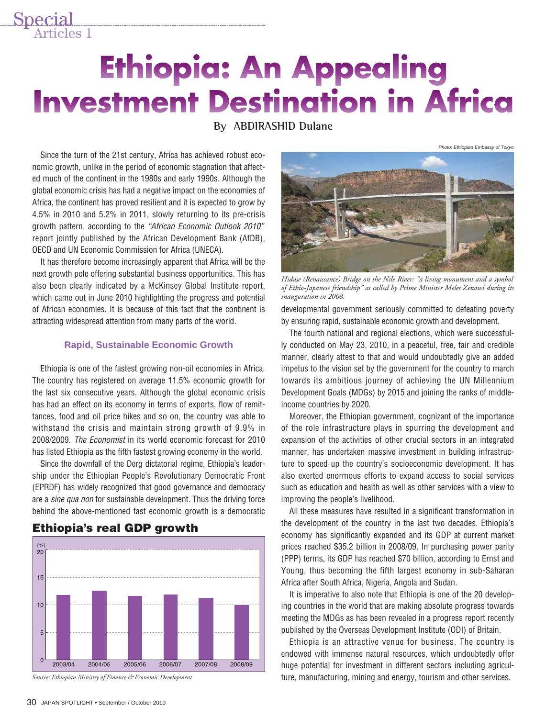# **Ethiopia: An Appealing Investment Destination in Africa**

# **By ABDIRASHID Dulane**

Since the turn of the 21st century, Africa has achieved robust economic growth, unlike in the period of economic stagnation that affected much of the continent in the 1980s and early 1990s. Although the global economic crisis has had a negative impact on the economies of Africa, the continent has proved resilient and it is expected to grow by 4.5% in 2010 and 5.2% in 2011, slowly returning to its pre-crisis growth pattern, according to the *"African Economic Outlook 2010"* report jointly published by the African Development Bank (AfDB), OECD and UN Economic Commission for Africa (UNECA).

Special<br>Articles 1

It has therefore become increasingly apparent that Africa will be the next growth pole offering substantial business opportunities. This has also been clearly indicated by a McKinsey Global Institute report, which came out in June 2010 highlighting the progress and potential of African economies. It is because of this fact that the continent is attracting widespread attention from many parts of the world.

#### **Rapid, Sustainable Economic Growth**

Ethiopia is one of the fastest growing non-oil economies in Africa. The country has registered on average 11.5% economic growth for the last six consecutive years. Although the global economic crisis has had an effect on its economy in terms of exports, flow of remittances, food and oil price hikes and so on, the country was able to withstand the crisis and maintain strong growth of 9.9% in 2008/2009. *The Economist* in its world economic forecast for 2010 has listed Ethiopia as the fifth fastest growing economy in the world.

Since the downfall of the Derg dictatorial regime, Ethiopia's leadership under the Ethiopian People's Revolutionary Democratic Front (EPRDF) has widely recognized that good governance and democracy are a *sine qua non* for sustainable development. Thus the driving force behind the above-mentioned fast economic growth is a democratic



## **Ethiopia's real GDP growth**

*Source: Ethiopian Ministry of Finance & Economic Development*



Photo: Ethiopian Embassy of Tokyo

*Hidase (Renaissance) Bridge on the Nile River: "a living monument and a symbol of Ethio-Japanese friendship" as called by Prime Minister Meles Zenawi during its inauguration in 2008.*

developmental government seriously committed to defeating poverty by ensuring rapid, sustainable economic growth and development.

The fourth national and regional elections, which were successfully conducted on May 23, 2010, in a peaceful, free, fair and credible manner, clearly attest to that and would undoubtedly give an added impetus to the vision set by the government for the country to march towards its ambitious journey of achieving the UN Millennium Development Goals (MDGs) by 2015 and joining the ranks of middleincome countries by 2020.

Moreover, the Ethiopian government, cognizant of the importance of the role infrastructure plays in spurring the development and expansion of the activities of other crucial sectors in an integrated manner, has undertaken massive investment in building infrastructure to speed up the country's socioeconomic development. It has also exerted enormous efforts to expand access to social services such as education and health as well as other services with a view to improving the people's livelihood.

All these measures have resulted in a significant transformation in the development of the country in the last two decades. Ethiopia's economy has significantly expanded and its GDP at current market prices reached \$35.2 billion in 2008/09. In purchasing power parity (PPP) terms, its GDP has reached \$70 billion, according to Ernst and Young, thus becoming the fifth largest economy in sub-Saharan Africa after South Africa, Nigeria, Angola and Sudan.

It is imperative to also note that Ethiopia is one of the 20 developing countries in the world that are making absolute progress towards meeting the MDGs as has been revealed in a progress report recently published by the Overseas Development Institute (ODI) of Britain.

Ethiopia is an attractive venue for business. The country is endowed with immense natural resources, which undoubtedly offer huge potential for investment in different sectors including agriculture, manufacturing, mining and energy, tourism and other services.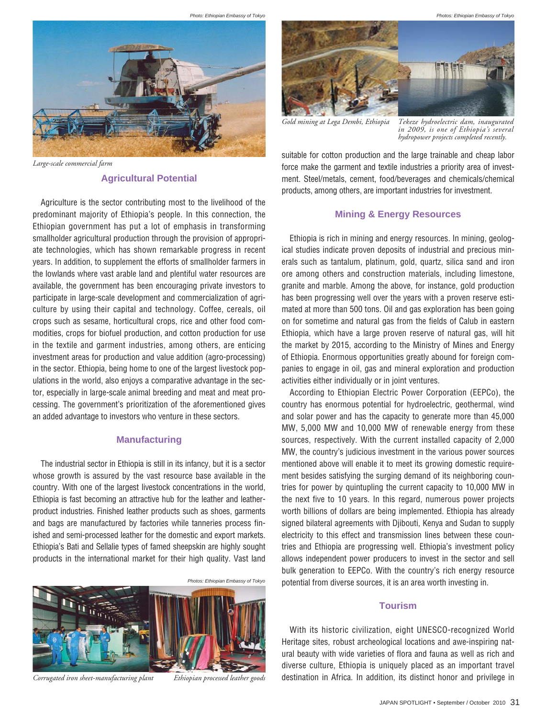Photo: Ethiopian Embassy of Tokyo



*Large-scale commercial farm*

#### **Agricultural Potential**

Agriculture is the sector contributing most to the livelihood of the predominant majority of Ethiopia's people. In this connection, the Ethiopian government has put a lot of emphasis in transforming smallholder agricultural production through the provision of appropriate technologies, which has shown remarkable progress in recent years. In addition, to supplement the efforts of smallholder farmers in the lowlands where vast arable land and plentiful water resources are available, the government has been encouraging private investors to participate in large-scale development and commercialization of agriculture by using their capital and technology. Coffee, cereals, oil crops such as sesame, horticultural crops, rice and other food commodities, crops for biofuel production, and cotton production for use in the textile and garment industries, among others, are enticing investment areas for production and value addition (agro-processing) in the sector. Ethiopia, being home to one of the largest livestock populations in the world, also enjoys a comparative advantage in the sector, especially in large-scale animal breeding and meat and meat processing. The government's prioritization of the aforementioned gives an added advantage to investors who venture in these sectors.

#### **Manufacturing**

The industrial sector in Ethiopia is still in its infancy, but it is a sector whose growth is assured by the vast resource base available in the country. With one of the largest livestock concentrations in the world, Ethiopia is fast becoming an attractive hub for the leather and leatherproduct industries. Finished leather products such as shoes, garments and bags are manufactured by factories while tanneries process finished and semi-processed leather for the domestic and export markets. Ethiopia's Bati and Sellalie types of famed sheepskin are highly sought products in the international market for their high quality. Vast land



*Corrugated iron sheet-manufacturing plant Ethiopian processed leather goods*

Photos: Ethiopian Embassy of Tokyo



*Gold mining at Lega Dembi, Ethiopia Tekeze hydroelectric dam, inaugurated in 2009, is one of Ethiopia's several hydropower projects completed recently.*

suitable for cotton production and the large trainable and cheap labor force make the garment and textile industries a priority area of investment. Steel/metals, cement, food/beverages and chemicals/chemical products, among others, are important industries for investment.

### **Mining & Energy Resources**

Ethiopia is rich in mining and energy resources. In mining, geological studies indicate proven deposits of industrial and precious minerals such as tantalum, platinum, gold, quartz, silica sand and iron ore among others and construction materials, including limestone, granite and marble. Among the above, for instance, gold production has been progressing well over the years with a proven reserve estimated at more than 500 tons. Oil and gas exploration has been going on for sometime and natural gas from the fields of Calub in eastern Ethiopia, which have a large proven reserve of natural gas, will hit the market by 2015, according to the Ministry of Mines and Energy of Ethiopia. Enormous opportunities greatly abound for foreign companies to engage in oil, gas and mineral exploration and production activities either individually or in joint ventures.

According to Ethiopian Electric Power Corporation (EEPCo), the country has enormous potential for hydroelectric, geothermal, wind and solar power and has the capacity to generate more than 45,000 MW, 5,000 MW and 10,000 MW of renewable energy from these sources, respectively. With the current installed capacity of 2,000 MW, the country's judicious investment in the various power sources mentioned above will enable it to meet its growing domestic requirement besides satisfying the surging demand of its neighboring countries for power by quintupling the current capacity to 10,000 MW in the next five to 10 years. In this regard, numerous power projects worth billions of dollars are being implemented. Ethiopia has already signed bilateral agreements with Djibouti, Kenya and Sudan to supply electricity to this effect and transmission lines between these countries and Ethiopia are progressing well. Ethiopia's investment policy allows independent power producers to invest in the sector and sell bulk generation to EEPCo. With the country's rich energy resource potential from diverse sources, it is an area worth investing in.

#### **Tourism**

With its historic civilization, eight UNESCO-recognized World Heritage sites, robust archeological locations and awe-inspiring natural beauty with wide varieties of flora and fauna as well as rich and diverse culture, Ethiopia is uniquely placed as an important travel destination in Africa. In addition, its distinct honor and privilege in